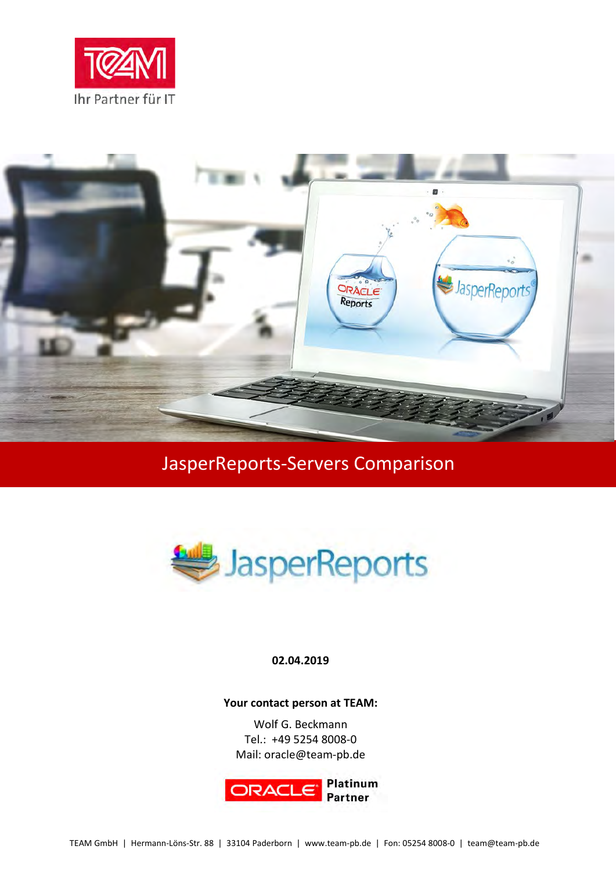



# JasperReports-Servers Comparison



#### **02.04.2019**

#### **Your contact person at TEAM:**

Wolf G. Beckmann Tel.: +49 5254 8008-0 Mail: oracle@team-pb.de

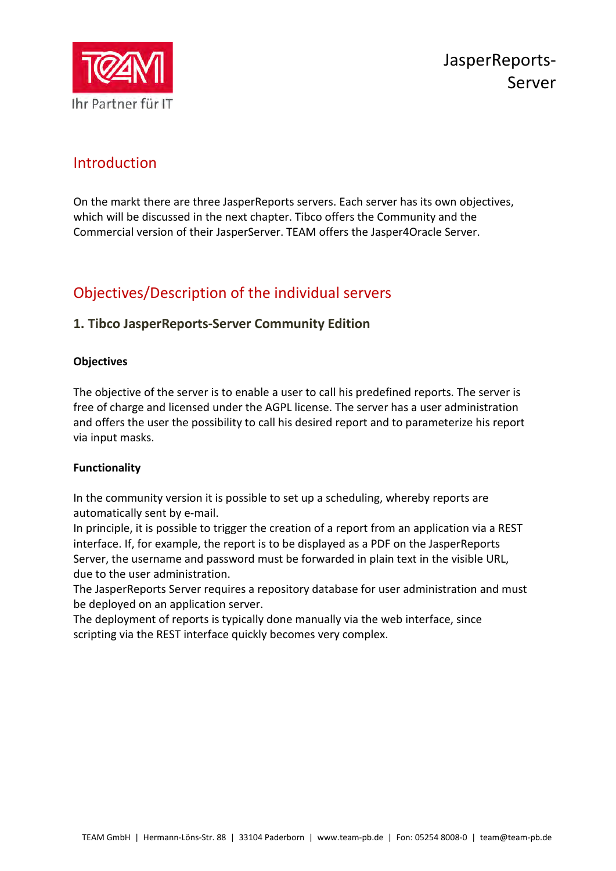

# Introduction

On the markt there are three JasperReports servers. Each server has its own objectives, which will be discussed in the next chapter. Tibco offers the Community and the Commercial version of their JasperServer. TEAM offers the Jasper4Oracle Server.

# Objectives/Description of the individual servers

# **1. Tibco JasperReports-Server Community Edition**

## **Objectives**

The objective of the server is to enable a user to call his predefined reports. The server is free of charge and licensed under the AGPL license. The server has a user administration and offers the user the possibility to call his desired report and to parameterize his report via input masks.

## **Functionality**

In the community version it is possible to set up a scheduling, whereby reports are automatically sent by e-mail.

In principle, it is possible to trigger the creation of a report from an application via a REST interface. If, for example, the report is to be displayed as a PDF on the JasperReports Server, the username and password must be forwarded in plain text in the visible URL, due to the user administration.

The JasperReports Server requires a repository database for user administration and must be deployed on an application server.

The deployment of reports is typically done manually via the web interface, since scripting via the REST interface quickly becomes very complex.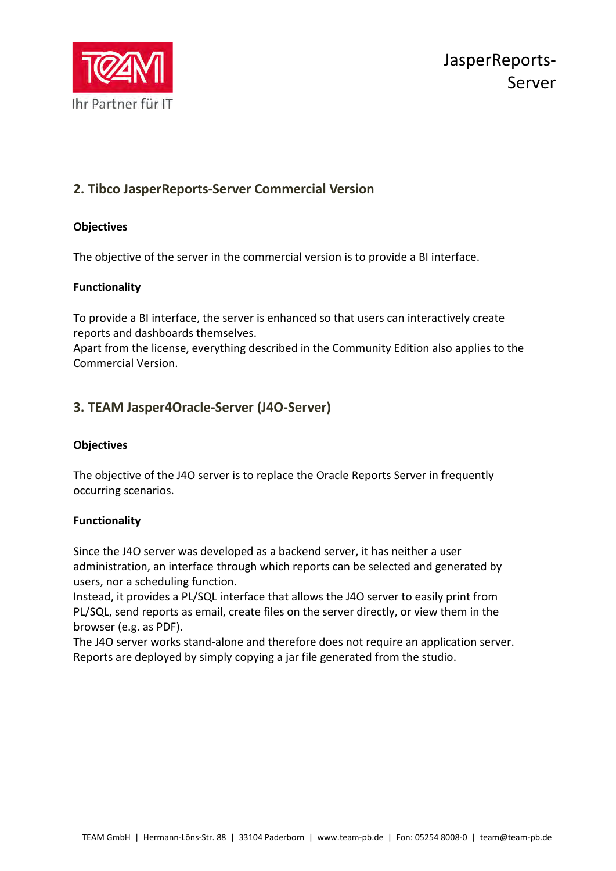

# **2. Tibco JasperReports-Server Commercial Version**

## **Objectives**

The objective of the server in the commercial version is to provide a BI interface.

## **Functionality**

To provide a BI interface, the server is enhanced so that users can interactively create reports and dashboards themselves.

Apart from the license, everything described in the Community Edition also applies to the Commercial Version.

# **3. TEAM Jasper4Oracle-Server (J4O-Server)**

## **Objectives**

The objective of the J4O server is to replace the Oracle Reports Server in frequently occurring scenarios.

#### **Functionality**

Since the J4O server was developed as a backend server, it has neither a user administration, an interface through which reports can be selected and generated by users, nor a scheduling function.

Instead, it provides a PL/SQL interface that allows the J4O server to easily print from PL/SQL, send reports as email, create files on the server directly, or view them in the browser (e.g. as PDF).

The J4O server works stand-alone and therefore does not require an application server. Reports are deployed by simply copying a jar file generated from the studio.